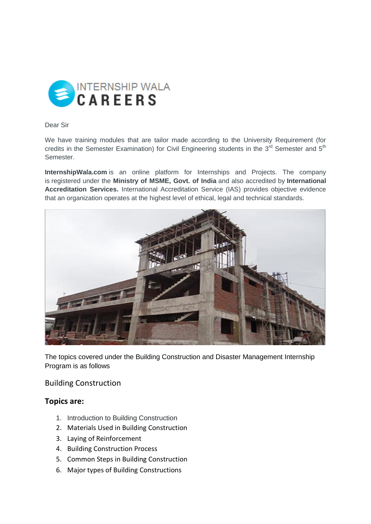

Dear Sir

We have training modules that are tailor made according to the University Requirement (for credits in the Semester Examination) for Civil Engineering students in the  $3<sup>rd</sup>$  Semester and  $5<sup>th</sup>$ Semester.

**InternshipWala.com** is an online platform for Internships and Projects. The company is registered under the **Ministry of MSME, Govt. of India** and also accredited by **International Accreditation Services.** International Accreditation Service (IAS) provides objective evidence that an organization operates at the highest level of ethical, legal and technical standards.



The topics covered under the Building Construction and Disaster Management Internship Program is as follows

Building Construction

## **Topics are:**

- 1. Introduction to Building Construction
- 2. Materials Used in Building Construction
- 3. Laying of Reinforcement
- 4. Building Construction Process
- 5. Common Steps in Building Construction
- 6. Major types of Building Constructions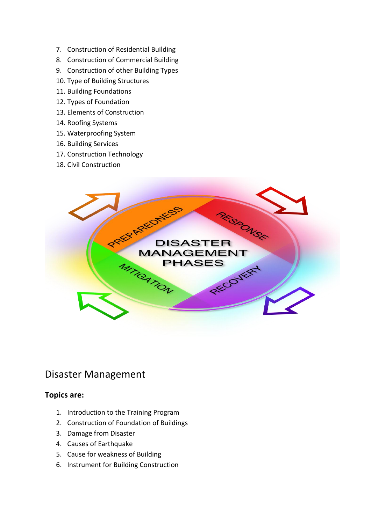- 7. Construction of Residential Building
- 8. Construction of Commercial Building
- 9. Construction of other Building Types
- 10. Type of Building Structures
- 11. Building Foundations
- 12. Types of Foundation
- 13. Elements of Construction
- 14. Roofing Systems
- 15. Waterproofing System
- 16. Building Services
- 17. Construction Technology
- 18. Civil Construction



## Disaster Management

## **Topics are:**

- 1. Introduction to the Training Program
- 2. Construction of Foundation of Buildings
- 3. Damage from Disaster
- 4. Causes of Earthquake
- 5. Cause for weakness of Building
- 6. Instrument for Building Construction